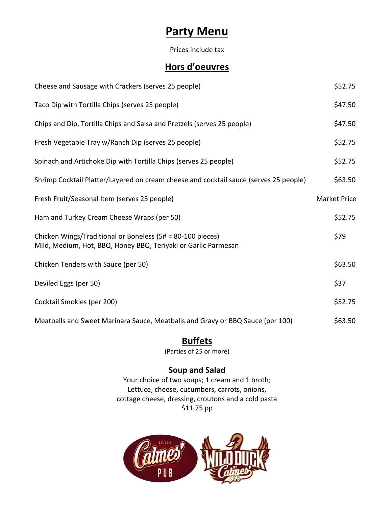# **Party Menu**

Prices include tax

# **Hors d'oeuvres**

| Cheese and Sausage with Crackers (serves 25 people)                                                                          | \$52.75             |
|------------------------------------------------------------------------------------------------------------------------------|---------------------|
| Taco Dip with Tortilla Chips (serves 25 people)                                                                              | \$47.50             |
| Chips and Dip, Tortilla Chips and Salsa and Pretzels (serves 25 people)                                                      | \$47.50             |
| Fresh Vegetable Tray w/Ranch Dip (serves 25 people)                                                                          | \$52.75             |
| Spinach and Artichoke Dip with Tortilla Chips (serves 25 people)                                                             | \$52.75             |
| Shrimp Cocktail Platter/Layered on cream cheese and cocktail sauce (serves 25 people)                                        | \$63.50             |
| Fresh Fruit/Seasonal Item (serves 25 people)                                                                                 | <b>Market Price</b> |
| Ham and Turkey Cream Cheese Wraps (per 50)                                                                                   | \$52.75             |
| Chicken Wings/Traditional or Boneless (5# = 80-100 pieces)<br>Mild, Medium, Hot, BBQ, Honey BBQ, Teriyaki or Garlic Parmesan | \$79                |
| Chicken Tenders with Sauce (per 50)                                                                                          | \$63.50             |
| Deviled Eggs (per 50)                                                                                                        | \$37                |
| Cocktail Smokies (per 200)                                                                                                   | \$52.75             |
| Meatballs and Sweet Marinara Sauce, Meatballs and Gravy or BBQ Sauce (per 100)                                               | \$63.50             |

# **Buffets**

(Parties of 25 or more)

### **Soup and Salad**

Your choice of two soups; 1 cream and 1 broth; Lettuce, cheese, cucumbers, carrots, onions, cottage cheese, dressing, croutons and a cold pasta \$11.75 pp

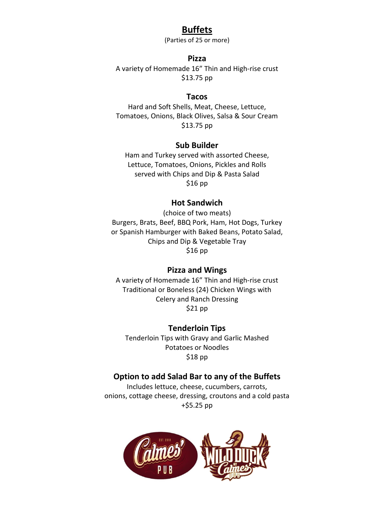### **Buffets**

(Parties of 25 or more)

### **Pizza**

A variety of Homemade 16" Thin and High-rise crust \$13.75 pp

#### **Tacos**

Hard and Soft Shells, Meat, Cheese, Lettuce, Tomatoes, Onions, Black Olives, Salsa & Sour Cream \$13.75 pp

### **Sub Builder**

Ham and Turkey served with assorted Cheese, Lettuce, Tomatoes, Onions, Pickles and Rolls served with Chips and Dip & Pasta Salad \$16 pp

#### **Hot Sandwich**

(choice of two meats) Burgers, Brats, Beef, BBQ Pork, Ham, Hot Dogs, Turkey or Spanish Hamburger with Baked Beans, Potato Salad, Chips and Dip & Vegetable Tray \$16 pp

#### **Pizza and Wings**

A variety of Homemade 16" Thin and High-rise crust Traditional or Boneless (24) Chicken Wings with Celery and Ranch Dressing \$21 pp

**Tenderloin Tips** Tenderloin Tips with Gravy and Garlic Mashed Potatoes or Noodles \$18 pp

### **Option to add Salad Bar to any of the Buffets**

Includes lettuce, cheese, cucumbers, carrots, onions, cottage cheese, dressing, croutons and a cold pasta +\$5.25 pp